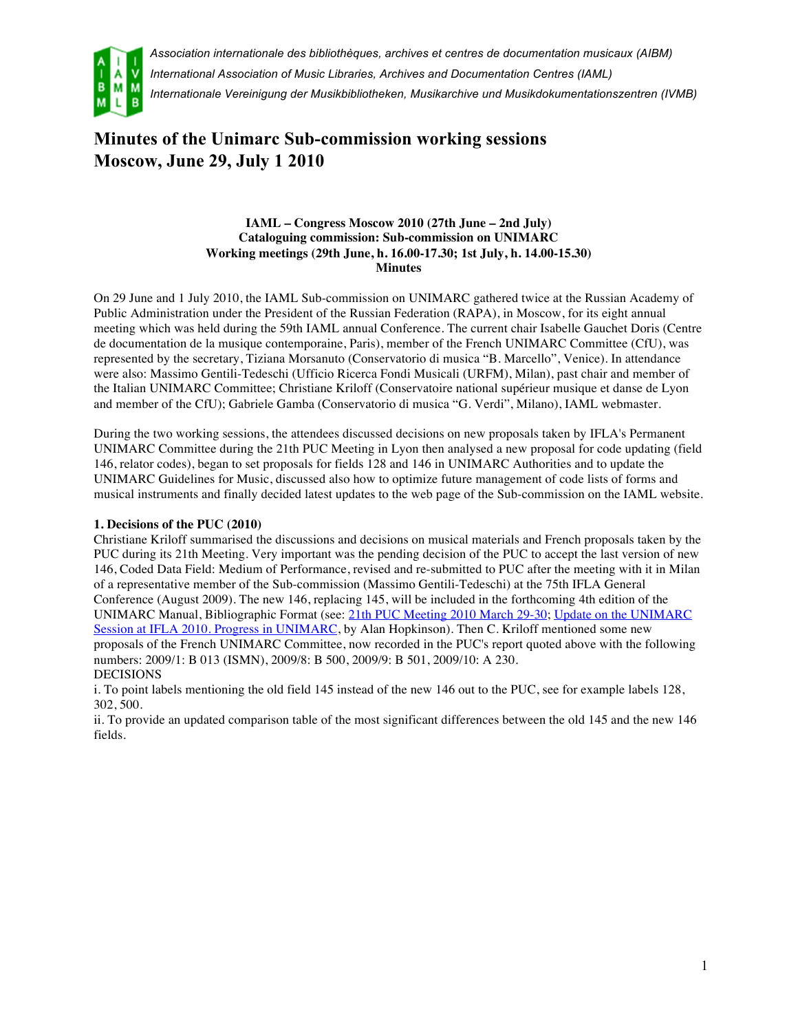

*Association internationale des bibliothèques, archives et centres de documentation musicaux (AIBM) International Association of Music Libraries, Archives and Documentation Centres (IAML) Internationale Vereinigung der Musikbibliotheken, Musikarchive und Musikdokumentationszentren (IVMB)*

# **Minutes of the Unimarc Sub-commission working sessions Moscow, June 29, July 1 2010**

#### **IAML – Congress Moscow 2010 (27th June – 2nd July) Cataloguing commission: Sub-commission on UNIMARC Working meetings (29th June, h. 16.00-17.30; 1st July, h. 14.00-15.30) Minutes**

On 29 June and 1 July 2010, the IAML Sub-commission on UNIMARC gathered twice at the Russian Academy of Public Administration under the President of the Russian Federation (RAPA), in Moscow, for its eight annual meeting which was held during the 59th IAML annual Conference. The current chair Isabelle Gauchet Doris (Centre de documentation de la musique contemporaine, Paris), member of the French UNIMARC Committee (CfU), was represented by the secretary, Tiziana Morsanuto (Conservatorio di musica "B. Marcello", Venice). In attendance were also: Massimo Gentili-Tedeschi (Ufficio Ricerca Fondi Musicali (URFM), Milan), past chair and member of the Italian UNIMARC Committee; Christiane Kriloff (Conservatoire national supérieur musique et danse de Lyon and member of the CfU); Gabriele Gamba (Conservatorio di musica "G. Verdi", Milano), IAML webmaster.

During the two working sessions, the attendees discussed decisions on new proposals taken by IFLA's Permanent UNIMARC Committee during the 21th PUC Meeting in Lyon then analysed a new proposal for code updating (field 146, relator codes), began to set proposals for fields 128 and 146 in UNIMARC Authorities and to update the UNIMARC Guidelines for Music, discussed also how to optimize future management of code lists of forms and musical instruments and finally decided latest updates to the web page of the Sub-commission on the IAML website.

### **1. Decisions of the PUC (2010)**

Christiane Kriloff summarised the discussions and decisions on musical materials and French proposals taken by the PUC during its 21th Meeting. Very important was the pending decision of the PUC to accept the last version of new 146, Coded Data Field: Medium of Performance, revised and re-submitted to PUC after the meeting with it in Milan of a representative member of the Sub-commission (Massimo Gentili-Tedeschi) at the 75th IFLA General Conference (August 2009). The new 146, replacing 145, will be included in the forthcoming 4th edition of the UNIMARC Manual, Bibliographic Format (see: 21th PUC Meeting 2010 March 29-30; Update on the UNIMARC Session at IFLA 2010. Progress in UNIMARC, by Alan Hopkinson). Then C. Kriloff mentioned some new proposals of the French UNIMARC Committee, now recorded in the PUC's report quoted above with the following numbers: 2009/1: B 013 (ISMN), 2009/8: B 500, 2009/9: B 501, 2009/10: A 230. DECISIONS

i. To point labels mentioning the old field 145 instead of the new 146 out to the PUC, see for example labels 128, 302, 500.

ii. To provide an updated comparison table of the most significant differences between the old 145 and the new 146 fields.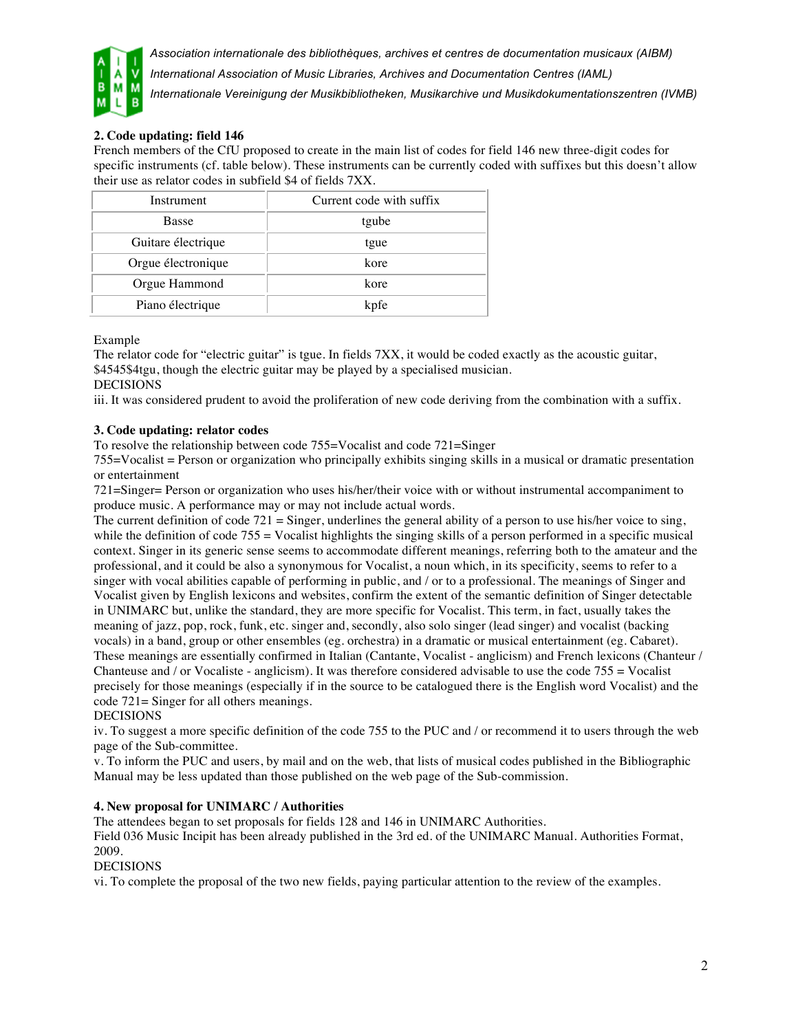

*Association internationale des bibliothèques, archives et centres de documentation musicaux (AIBM)*

*International Association of Music Libraries, Archives and Documentation Centres (IAML)*

*Internationale Vereinigung der Musikbibliotheken, Musikarchive und Musikdokumentationszentren (IVMB)*

# **2. Code updating: field 146**

French members of the CfU proposed to create in the main list of codes for field 146 new three-digit codes for specific instruments (cf. table below). These instruments can be currently coded with suffixes but this doesn't allow their use as relator codes in subfield \$4 of fields 7XX.

| Instrument         | Current code with suffix |
|--------------------|--------------------------|
| <b>Basse</b>       | tgube                    |
| Guitare électrique | tgue                     |
| Orgue électronique | kore                     |
| Orgue Hammond      | kore                     |
| Piano électrique   | kpfe                     |

#### Example

The relator code for "electric guitar" is tgue. In fields 7XX, it would be coded exactly as the acoustic guitar, \$4545\$4tgu, though the electric guitar may be played by a specialised musician. **DECISIONS** 

iii. It was considered prudent to avoid the proliferation of new code deriving from the combination with a suffix.

### **3. Code updating: relator codes**

To resolve the relationship between code 755=Vocalist and code 721=Singer

755=Vocalist = Person or organization who principally exhibits singing skills in a musical or dramatic presentation or entertainment

721=Singer= Person or organization who uses his/her/their voice with or without instrumental accompaniment to produce music. A performance may or may not include actual words.

The current definition of code  $721 =$  Singer, underlines the general ability of a person to use his/her voice to sing, while the definition of code 755 = Vocalist highlights the singing skills of a person performed in a specific musical context. Singer in its generic sense seems to accommodate different meanings, referring both to the amateur and the professional, and it could be also a synonymous for Vocalist, a noun which, in its specificity, seems to refer to a singer with vocal abilities capable of performing in public, and / or to a professional. The meanings of Singer and Vocalist given by English lexicons and websites, confirm the extent of the semantic definition of Singer detectable in UNIMARC but, unlike the standard, they are more specific for Vocalist. This term, in fact, usually takes the meaning of jazz, pop, rock, funk, etc. singer and, secondly, also solo singer (lead singer) and vocalist (backing vocals) in a band, group or other ensembles (eg. orchestra) in a dramatic or musical entertainment (eg. Cabaret). These meanings are essentially confirmed in Italian (Cantante, Vocalist - anglicism) and French lexicons (Chanteur / Chanteuse and / or Vocaliste - anglicism). It was therefore considered advisable to use the code  $755 =$  Vocalist precisely for those meanings (especially if in the source to be catalogued there is the English word Vocalist) and the code 721= Singer for all others meanings.

DECISIONS

iv. To suggest a more specific definition of the code 755 to the PUC and / or recommend it to users through the web page of the Sub-committee.

v. To inform the PUC and users, by mail and on the web, that lists of musical codes published in the Bibliographic Manual may be less updated than those published on the web page of the Sub-commission.

### **4. New proposal for UNIMARC / Authorities**

The attendees began to set proposals for fields 128 and 146 in UNIMARC Authorities.

Field 036 Music Incipit has been already published in the 3rd ed. of the UNIMARC Manual. Authorities Format, 2009.

### DECISIONS

vi. To complete the proposal of the two new fields, paying particular attention to the review of the examples.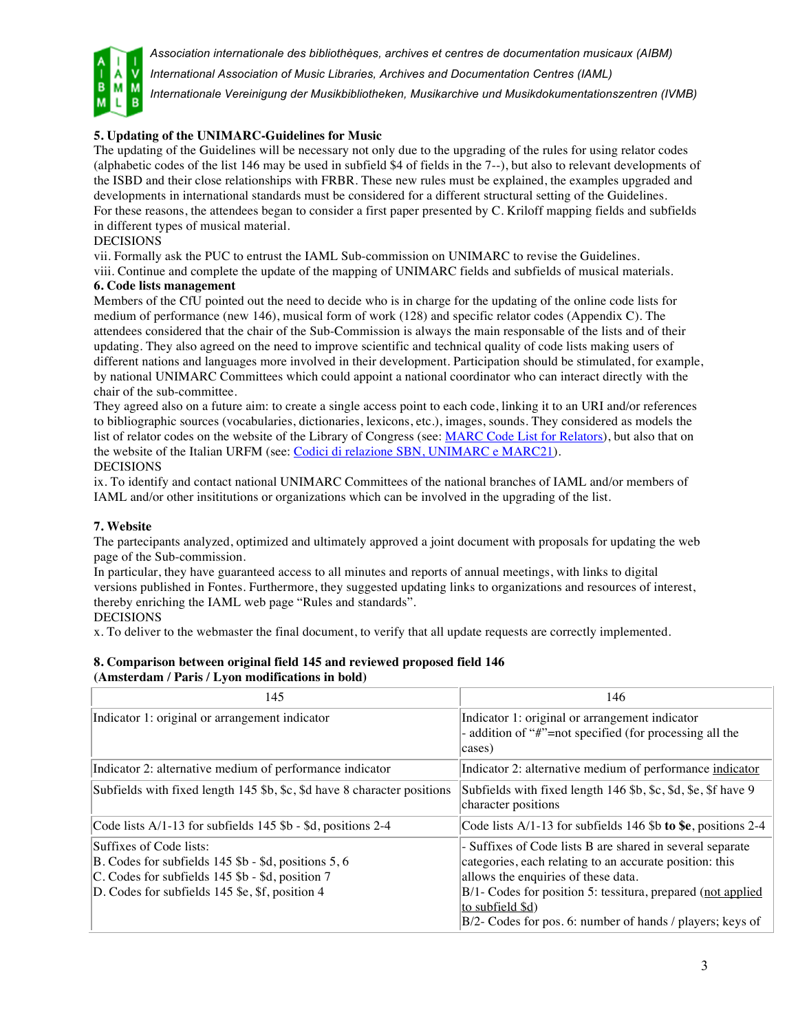

*Association internationale des bibliothèques, archives et centres de documentation musicaux (AIBM)*

*International Association of Music Libraries, Archives and Documentation Centres (IAML)*

*Internationale Vereinigung der Musikbibliotheken, Musikarchive und Musikdokumentationszentren (IVMB)*

## **5. Updating of the UNIMARC-Guidelines for Music**

The updating of the Guidelines will be necessary not only due to the upgrading of the rules for using relator codes (alphabetic codes of the list 146 may be used in subfield \$4 of fields in the 7--), but also to relevant developments of the ISBD and their close relationships with FRBR. These new rules must be explained, the examples upgraded and developments in international standards must be considered for a different structural setting of the Guidelines. For these reasons, the attendees began to consider a first paper presented by C. Kriloff mapping fields and subfields in different types of musical material.

#### DECISIONS

vii. Formally ask the PUC to entrust the IAML Sub-commission on UNIMARC to revise the Guidelines. viii. Continue and complete the update of the mapping of UNIMARC fields and subfields of musical materials.

# **6. Code lists management**

Members of the CfU pointed out the need to decide who is in charge for the updating of the online code lists for medium of performance (new 146), musical form of work (128) and specific relator codes (Appendix C). The attendees considered that the chair of the Sub-Commission is always the main responsable of the lists and of their updating. They also agreed on the need to improve scientific and technical quality of code lists making users of different nations and languages more involved in their development. Participation should be stimulated, for example, by national UNIMARC Committees which could appoint a national coordinator who can interact directly with the chair of the sub-committee.

They agreed also on a future aim: to create a single access point to each code, linking it to an URI and/or references to bibliographic sources (vocabularies, dictionaries, lexicons, etc.), images, sounds. They considered as models the list of relator codes on the website of the Library of Congress (see: MARC Code List for Relators), but also that on the website of the Italian URFM (see: Codici di relazione SBN, UNIMARC e MARC21). DECISIONS

ix. To identify and contact national UNIMARC Committees of the national branches of IAML and/or members of IAML and/or other insititutions or organizations which can be involved in the upgrading of the list.

#### **7. Website**

The partecipants analyzed, optimized and ultimately approved a joint document with proposals for updating the web page of the Sub-commission.

In particular, they have guaranteed access to all minutes and reports of annual meetings, with links to digital versions published in Fontes. Furthermore, they suggested updating links to organizations and resources of interest, thereby enriching the IAML web page "Rules and standards".

### DECISIONS

x. To deliver to the webmaster the final document, to verify that all update requests are correctly implemented.

#### **8. Comparison between original field 145 and reviewed proposed field 146 (Amsterdam / Paris / Lyon modifications in bold)**

| 145                                                                                                                                                                                               | 146                                                                                                                                                                                                                                                                                                         |
|---------------------------------------------------------------------------------------------------------------------------------------------------------------------------------------------------|-------------------------------------------------------------------------------------------------------------------------------------------------------------------------------------------------------------------------------------------------------------------------------------------------------------|
| Indicator 1: original or arrangement indicator                                                                                                                                                    | Indicator 1: original or arrangement indicator<br>- addition of "#"=not specified (for processing all the<br>cases)                                                                                                                                                                                         |
| Indicator 2: alternative medium of performance indicator                                                                                                                                          | Indicator 2: alternative medium of performance indicator                                                                                                                                                                                                                                                    |
| Subfields with fixed length 145 \$b, \$c, \$d have 8 character positions                                                                                                                          | Subfields with fixed length 146 \$b, \$c, \$d, \$e, \$f have 9<br>character positions                                                                                                                                                                                                                       |
| Code lists A/1-13 for subfields 145 \$b - \$d, positions 2-4                                                                                                                                      | Code lists $A/1-13$ for subfields 146 \$b to \$e, positions 2-4                                                                                                                                                                                                                                             |
| Suffixes of Code lists:<br>$ B.$ Codes for subfields 145 \$b - \$d, positions 5, 6<br>$\vert$ C. Codes for subfields 145 \$b - \$d, position 7<br>D. Codes for subfields 145 \$e, \$f, position 4 | - Suffixes of Code lists B are shared in several separate<br>categories, each relating to an accurate position: this<br>allows the enquiries of these data.<br>B/1- Codes for position 5: tessitura, prepared (not applied<br>to subfield \$d)<br>B/2- Codes for pos. 6: number of hands / players; keys of |